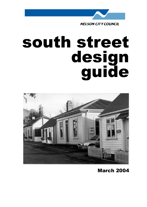

# south street design guide



March 2004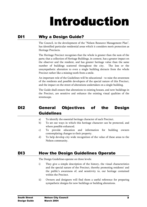## Introduction

## DI1 Why a Design Guide?

has identified particular residential areas which it considers merit protection as<br>Heritage Precincts.<br>The Heritage Precinct recognises that the whole is greater than the sum of the<br>parts; that a collection of Heritage Bui Heritage Precincts.<br>The Heritage Precinct recognises that the whole is greater than the sum of the<br>parts; that a collection of Heritage Buildings, in context, has a greater impact on<br>the observer and the resident, and has The Heritage Precinct 1<br>parts; that a collection of<br>the observer and the 1<br>number of buildings<br>unsympathetic alteratio<br>Precinct rather like a m<br>An important role of th<br>of the residents and po<br>and the impact on the s<br>The Gu parts; that a collection of Heritage Buildings, in context, has a greater impact on the observer and the resident, and has greater heritage value than the same number of buildings scattered throughout the city. The loss or parts; the observer and the resident, and has greater heritage value than the same number of buildings scattered throughout the city. The loss or the unsympathetic alteration to even a single building detracts from the who number of buildings scattered throughout the city. The loss or the unsympathetic alteration to even a single building detracts from the whole Precinct rather like a missing tooth from a smile.<br>An important role of the Guid

number and the community and the mass of the content rather like a missing tooth from a smile.<br>An important role of the Guidelines will be educational - to raise the awareness of the residents and possible developers of th Precinct rather like a missing tooth from a smile.<br>
An important role of the Guidelines will be educational - to raise the awareness<br>
of the residents and possible developers of the special nature of this Precinct,<br>
and th An important role of the Guidelines will be educationa<br>of the residents and possible developers of the special<br>and the impact on the street of alterations undertaken of<br>The Guide shall ensure that alterations to existing h

The Guide shall ensure that alterations to existing houses, and new buildings in<br>the Precinct, are sensitive and enhance the existing visual qualities of the<br>streetscape.<br>**General Objectives of the Design**<br>**Guidelines**<br>a)

## of the residents and possible developers of the special nature of this Precinct,<br>and the impact on the street of alterations undertaken on a single building.<br>The Guide shall ensure that alterations to existing houses, and and the impact on the street of alterations undertaken on a single building.<br>
The Guide shall ensure that alterations to existing houses, and new buildings in<br>
the Precinct, are sensitive and enhance the existing visual qu **General Objectives of the Design<br>
Ceneral Objectives of the Design<br>
Cuidelines**<br>
a) To identify the essential heritage character of each Precinct.<br>
b) To set out ways in which this heritage character can be protected, and **General Objectives of the Design<br>
Guidelines**<br>
a) To identify the essential heritage character of each Precinct.<br>
b) To set out ways in which this heritage character can be protected, and<br>
where possible enhanced.<br>
c) To **Suidelines**<br> **Guidelines**<br> **a** To identify the essential heritage character of each Precinct.<br> **b** To set out ways in which this heritage character can be protected, and<br>
where possible enhanced.<br>
c) To provide education Guidelines

- 
- 
- b) To set out ways in which this heritage character can be proted where possible enhanced.<br>
c) To provide education and information for building contemplating changes to their property.<br>
d) To help develop city-wide recogn
- 

- more possible enhanced.<br>
c) To provide education and information for building owners<br>
contemplating changes to their property.<br>
d) To help develop city-wide recognition of the value of these areas to the<br>
Nelson community. To provide education are<br>contemplating changes to their<br>To help develop city-wide reconsiders<br>Nelson community.<br>**Notains in the Dessign Guidelines** operate on the<br>They give a simple descriptic<br>and the special nature of the contemplating changes to their property.<br>
d) To help develop city-wide recognition of the value of these areas to the<br>
Nelson community.<br> **How the Design Guidelines Operate**<br>
The Design Guidelines operate on three levels:<br> To help develop city-wide recognition of the<br>Nelson community.<br>Note than community.<br>They give a simple description of the histor<br>and the special nature of the Precinct, there<br>the public's awareness of, and sensitivity<br>with Mow the Design Guidelines Operate<br>The Design Guidelines operate<br>The Design Guidelines operate on three levels:<br>i) They give a simple description of the history, the visual characteristics<br>and the special nature of the Prec **Community of the Meridian Community of the Meridian Community of the Design Guidelines operate**<br>The Design Guidelines operate on three levels:<br>i) They give a simple description of the history, the visual characteristics<br>a The Design Guidelines of the histo<br>and the special nature of the Precinct, there<br>the public's awareness of, and sensitivity<br>within the Precinct.<br>ii) Owners and designers will find them a us<br>sympathetic designs for new buil income and the special nature of the Precinct, thereby promoting residents' and<br>the public's awareness of, and sensitivity to, our heritage contained<br>within the Precinct.<br>ii) Owners and designers will find them a useful re the public's awareness of, and sensitivity to, our heritage contained<br>within the Precinct.<br>Owners and designers will find them a useful reference for preparing<br>sympathetic designs for new buildings or building alterations.
	- within the Precinct.<br>Owners and designers will find them a useful reference for preparing<br>sympathetic designs for new buildings or building alterations.<br><br>**lelson City Council**<br>**larch 2004** Within the Precincum<br>Owners and designers v<br>sympathetic designs for interpretent of the precise of the precise of the precise of the precise of the precise of the precise of the precise of the precise of the precise of the sympathetic designs for new buildings or building alterations.<br>
	Nelson City Council<br>
	March 2004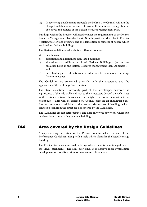In reviewing Design Guidelines as a measure of how well the intended design fits the<br>objectives and policies of the Nelson Resource Management Plan.<br>Buildings within the Precinct will need to meet the requirements of the N Desitives and policies of the Nelson Resource Management Plan.<br>
In mgs within the Precinct will need to meet the requirements of the Nelson<br>
rce Management Plan (the Plan). Note in particular the rules in Chapter<br>
ing to H For the Precinct will need to meet the requirements of the Nelson Resource Management Plan (the Plan). Note in particular the rules in Chaing to Heritage Precincts and the demolition or removal of houses when the as Herita Resource Management Plan (the Plan). Note in particular the rules in Chapter 7 relating to Heritage Precincts and the demolition or removal of houses which are listed as Heritage Buildings.<br>The Design Guidelines deal with

- 
- 
- The Sessign of Heritage Precincts and the demolition or removal of houses which<br>are listed as Heritage Buildings.<br>The Design Guidelines deal with four different situations:<br>a) new houses<br>b) alterations and additions to non The Design Guidelines deal with four different situations:<br>
a) new houses<br>
b) alterations and additions to non-listed buildings<br>
c) alterations and additions to hor-listed Heritage Buildings. (ie. heritage<br>
buildings liste The Design Guidelines deal with four<br>a) new houses<br>b) alterations and additions to no<br>alterations and additions to<br>buildings listed in the Nelson<br>and<br>d) new buildings, or alteration<br>(where relevant).<br>The Guidelines are con
- 

a) new houses<br>b) alterations and additions to non-listed buildings<br>c) alterations and additions to listed Heritage Building<br>buildings listed in the Nelson Resource Management P<br>and<br>d) new buildings, or alterations and addi b) alterations and ade<br>
c) alterations and a<br>
buildings listed in<br>
and<br>
d) new buildings, o<br>
(where relevant).<br>
The Guidelines are c<br>
appearance of the buildi<br>
The street elevation<br>
significance of the side<br>
as the distanc b) alterations and additions to listed Heritage Buildi<br>buildings listed in the Nelson Resource Management<br>and<br>d) new buildings, or alterations and additions to cor<br>(where relevant).<br>The Guidelines are concerned primarily w buildings listed in the Nelson Resource Management Plan, Appendix 1),<br>and<br>d) new buildings, or alterations and additions to commercial buildings<br>(where relevant).<br>The Guidelines are concerned primarily with the streetscape and<br>and<br>and<br>mew buildings, or alterations and additions to commercial buildings<br>(where relevant).<br>Guidelines are concerned primarily with the streetscape and the<br>rance of the buildings from the street.<br>treet elevation is o new buildin<br>(where relevation)<br>Guidelines a<br>rance of the bitreet elevation<br>cance of the distance bet<br>pours. This<br>profilent the seen from<br>the seen from<br>uidelines are<br>uidelines are (where relevant).<br>The Guidelines are concerned primarily with the streetscape and the<br>appearance of the buildings from the street.<br>The street elevation is obviously part of the streetscape, however the<br>significance of the Guidelines are concreased<br>Guidelines are concreased for the buildings<br>street elevation is concreased in distance between hot<br>pours. This will be or alterations or additively the seen from the street<br>uidelines are not retre appearance of the buildings from the street.<br>
The street elevation is obviously part of the streetscape, however the<br>
significance of the side walls and roof to the streetscape depend on such issues<br>
as the distance betwee The street elevation is obviously part of<br>significance of the side walls and roof to the strass the distance between houses and the heigh<br>neighbours. This will be assessed by Counci<br>Interior alterations or additions at the significance of the side walls and roof to the streetscape depend on such issues<br>as the distance between houses and the height of a house in relation to its<br>neighbours. This will be assessed by Council staff on an individu is the distance between houses and the height of a house in relation to its neighbours. This will be assessed by Council staff on an individual basis.<br>Interior alterations or additions at the rear, or private areas of dwel neighbours. This will be assessed by Council staff on an individual basis.<br>Interior alterations or additions at the rear, or private areas of dwellings, which<br>cannot be seen from the street are not covered by the Guideline

Interior alterations or additions at the rear, or private areas of dwellings, which<br>cannot be seen from the street are not covered by the Guidelines.<br>The Guidelines are not retrospective, and deal only with new work whethe Example 1 and the seen from the street are not covered by the Guidelines.<br>
The Guidelines are not retrospective, and deal only with new work whether it<br>
be alterations to an existing or a new building.<br> **Area covered by th** The Guidelines are not retrospective, and deal only with new work v<br>be alterations to an existing or a new building.<br>**Area covered by the Design Guideline**<br>A map showing the extent of the Precinct is attached at the exeref **Area covered by the Design Guidelines**<br>A map showing the extent of the Precinct is attached at the end of the<br>Performance Guidelines, along with a table which identifies the listed Heritage<br>Buildings.<br>The Precinct include **be alternative and Secure 15 Area covered by the Design Guidelines**<br>A map showing the extent of the Precinct is attached at the end of the Performance Guidelines, along with a table which identifies the listed Heritage Bu

Performance Guidelines, along with a table which identifies the listed Heritage<br>Buildings.<br>The Precinct includes non-listed buildings where these form an integral part of<br>the visual catchment. The aim, over time, is to ach Buildings.<br>The Precinct includes non-listed buildings where these form an integral part of<br>the visual catchment. The aim, over time, is to achieve more sympathetic<br>development on non-listed sites as these are rebuilt or al The Precinct i<br>the visual cate<br>development c The Precise of the Precise of the Precise of the Precise of the Visual catchment. The aim, over time, is to achieve more sympathetic development on non-listed sites as these are rebuilt or altered. development on non-listed sites as these are rebuilt or altered.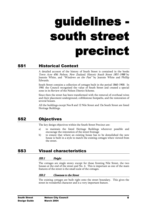## guidelines south street precinct

## SS1 Historical Context

Town Acre 456; Nelson, New Zealand; Historic South Street 1851-1988 by<br>Jeannie White, and "Windows on the Past" by Jeannie White and Phillip<br>Edwards.<br>South Street contains a collection of cottages built in the period 1860-Town Acre 456; Nelson, New Zealand; Historic South Street 1851-1988 by

by lip<br>
In<br>
res<br>
of<br>
ed<br>
— Jeannie White, and *"Windows on the Past"* by Jeannie White and Phillip Edwards.<br>
South Street contains a collection of cottages built in the period 1860-1900. In 1981 the Council recognised the value of South Street and c South Street of<br>1981 the Cours<br>2001 in its Re<br>Since then the<br>and their place<br>several house:<br>All the buildi<br>Heritage Build<br>**Objecti**<br>The key desig

1981 the Council recognised the value of South Street and created a special<br>
1981 the Council recognised the value of South Street and created a special<br>
2010 in its Review of the Nelson District Scheme.<br>
Since then the st 2010 Experiment Interact and Markon District Scheme.<br>
2010 in its Review of the Nelson District Scheme.<br>
2010 the removal of overhead wires<br>
2011 the buildings except Nos 8 and 12 Nile Street and 13a South Street are liste Example in the street is a the street behavior of the the reads of the rand their placement underground, cobblestone footpa<br>several houses.<br>All the buildings except Nos 8 and 12 Nile Street and<br>Heritage Buildings.<br>**Objecti** 

- 
- and their placement underground, cobblestone footpaths, and the restoration of<br>several houses.<br>All the buildings except Nos 8 and 12 Nile Street and 13a South Street are listed<br>Heritage Buildings.<br>**Objectives**<br>The key desi Exercise Industry and the restoration of the buildings except Nos 8 and 12 Nile Street and 13a South Street are listed<br>Heritage Buildings.<br> **Objectives**<br>
The key design objectives within the South Street Precinct are:<br>
a) All the buildings experience<br>
Heritage Buildings.<br> **Objectives**<br>
The key design obje<br>
a) to maintain<br>
encourage th<br>
b) to ensure this house is built<br>
the street. **Objectives**<br>
The key design objectives within the South Street Precinct are:<br>
a) to maintain the listed Heritage Buildings wherever possible and encourage the restoration of the street frontage<br>
b) to ensure that where an SS2 Objectives<br>
The key design objectives within th<br>
a) to maintain the listed He<br>
encourage the restoration of t<br>
b) to ensure that where an exis<br>
house is built in a style to ma<br>
the street.<br>
SS3 Visual characterist The key design of the street frontage<br>
a) to maintain the listed Heritage Buildings wherever p<br>
encourage the restoration of the street frontage<br>
b) to ensure that where an existing house has to be demolish<br>
house is built France the restoration of the street frontage<br>
b) to ensure that where an existing house has to be demolished the new<br>
house is built in a style to match the existing cottages when viewed from<br>
the street.<br> **Visual charact** to ensure that where an existing house has to be defined<br>to ensure that where an existing house has to be defined<br>the street.<br>**Ual characteristics**<br>**Height**<br>ottages are single storey except for those fronting Ni<br>at the end

### SS3.1 Height

**VISUAL Characteristics**<br> **VISUAL Characteristics**<br> **VISUAL Characteristics**<br> **SS3.1** Height<br>
The cottages are single storey except for those fronting Nile Street, the two<br>
houses at the end of the street and No. 4. This i **ual characteristics**<br> **House is built in a style to match the street.**<br> **Height**<br>
ottages are single storey except for those fronting Nile Street, the two<br>
sta the end of the street and No. 4. This is important as one of SS3 Visual characteristics<br>
SS3.1 Height<br>
The cottages are single storey except for those fronting<br>
houses at the end of the street and No. 4. This is importate<br>
features of the street is the small scale of the cottages.<br> The context was a formulated to the street and No. 4. This is important as one of the main features of the street is the small scale of the cottages.<br> **SS3.2** Closeness to the Street<br>
The existing cottages are built right

Fractures of the street is the small scale of the cottages.<br> **SS3.2** Closeness to the Street<br>
The existing cottages are built right onto the street boundary. This gives the<br>
street its wonderful character and is a very imp **SS3.2** Closeness to the Street<br>The existing cottages are built right onto the street boult<br>street its wonderful character and is a very important feat<br>Nelson City Council<br>March 2004 Street its wonderful character and is a very important feature.<br> **Nelson City Council**<br> **March 2004**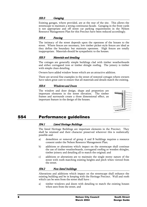### SS3.3 Garaging

Existence of the maintain a strong continuous facade. Garaging in the front yards<br>is not appropriate and off street car parking requirements in the Nelson<br>Resource Management Plan for this Precinct have been reduced accord is not appropriate and off street car parking requirements in the Nelson<br>Resource Management Plan for this Precinct have been reduced accordingly.<br>SS3.4 Fencing<br>The intimacy of the street depends upon the openness of the h **Example 19** Management Plan for this Precinct have been reduced accordingly.<br> **SS3.4** Fencing<br>
The intimacy of the street depends upon the openness of the houses to the<br>
street. Where fences are necessary, low timber pick **SS3.4** Fencing<br>The intimacy of the street depends upon the openness of the houses to the<br>street. Where fences are necessary, low timber picket-style fences are ideal as<br>they define the boundary but maintain openness. High street. Where fences are necessary, low timber picket-style fences are ideal as<br>they define the boundary but maintain openness. High fences are totally<br>inappropriate. Materials should be sympathetic to the houses.<br>**SS3.5**

street. Materials should be sympathetic to the houses.<br>
States are totally<br>
street. Materials should be sympathetic to the houses.<br>
States are generally simple buildings clad with timber weatherboards<br>
and either corrugate they imaging the boundary and defining the sympathetic to the houses.<br> **SS3.5** Materials and detailing<br>
The cottages are generally simple buildings clad with timber weatherboards<br>
and either corrugated iron or timber shing

**SS3.5** Materials and detailing<br>The cottages are generally simple buildings clad with timber wand either corrugated iron or timber shingle roofing. The join<br>with simple clean detailing.<br>Owners have added window boxes which and either corrugated iron or timber shingle roofing. The joinery is timber<br>with simple clean detailing.<br>Owners have added window boxes which are an attractive addition.<br>There are several fine examples in the street of res with simple clean detailing.<br>
Owners have added window boxes which are an attractive addition.<br>
There are several fine examples in the street of restored cottages where owners<br>
have taken great care to ensure that all mate With shave added window borthought<br>
There are several fine examples<br>
have taken great care to ensure to<br> **SS3.6** Windows and Door<br>
The window and door design<br>
important elements in the strames and surrounds create a<br>
impor There are several fine examples in the street of restored cottages where<br>have taken great care to ensure that all materials and details match the e<br> **SS3.6** Windows and Doors<br>
The window and door design, shape and proporti The windows and Doors<br>
The windows and Doors<br>
The windows and Doors<br>
The window and door design, shape and proportion are<br>
important elements in the street elevation. The timber<br>
frames and surrounds create a three dimensi 1983.6 Windows and Doors<br>
The window and door design, shape and proportion are<br>
important elements in the street elevation. The timber<br>
frames and surrounds create a three dimensional effect, an<br>
important feature in the d



## SS4 Performance guidelines

### SS4.1 Listed Heritage Buildings

Important elements in the street elevation. The timber<br>frames and surrounds create a three dimensional effect, an<br>important feature in the design of the houses.<br>**Performance guidelines**<br>SS4.1 Listed Heritage Buildings<br>The Frames and surrounds create a three dimensional effect, and<br>important feature in the design of the houses.<br>**Performance guidelines**<br>SS4.1 Listed Heritage Buildings<br>The listed Heritage Buildings are important elements in th Frames and surrounds are in the design of the houses.<br> **Performance guidelines**<br>
Surrounds are important elements in the Precinct<br>
shall be retained and their character preserved wherever this is real<br>
possible and:<br>
a) de **Performance guidelines.**<br> **SS4.1** Listed Heritage Buildings<br>
The listed Heritage Buildings are important elemental be retained and their character preserved<br>
possible and:<br>
a) demolition or removal of group A and B consen

- 
- a) demolition<br>
b) additions c<br>
the use of t<br>
timber join<br>
c) additions c<br>
street with<br>
the street.<br> **SS4.2 Non**<br>
Alterations and a<br>
existing building<br>
which can be see consent mater interterative more chaming measure and additions or alterations which impact on the streetscape<br>the use of timber weatherboards, corrugated roofing or wo<br>timber joinery and detailing all to match the original
- Shall be retained and their character preserved wherever this is realistically<br>possible and:<br>a) demolition or removal of group A and B buildings requires a resource<br>consent under the Nelson Resource Management Plan;<br>b) add possible and:<br>
a) demolition or removal of group A and B buildings requires a resource<br>
consent under the Nelson Resource Management Plan;<br>
b) additions or alterations which impact on the streetscape shall continue<br>
the us Framester and the Melson Resource Management Plan;<br>
b) additions or alterations which impact on the streetscape shall continue<br>
the use of timber weatherboards, corrugated roofing or wooden shingles,<br>
timber joinery and de the use of timber weatherboards, corrugated roofing or wooden shingles,<br>timber joinery and detailing all to match the original; and<br>c) additions or alterations are to maintain the single storey nature of the<br>street with ro timber joinery and detailing all to match the original; and<br>additions or alterations are to maintain the single storey nature of the<br>street with roofs matching existing heights and pitch when viewed from<br>the street.<br>Non-li the street with roofs matching existing heights and pitch when viewe<br>street with roofs matching existing heights and pitch when viewe<br>the street.<br>**Non-listed buildings**<br>tions and additions which impact on the streetscape s

considerations and additions which impact on the streetscape shall enhance the sixting buildings<br>
Alterations and additions which impact on the streetscape shall enhance the<br>
existing building and be in keeping with the He **Solution** Solutions and additions which impact on the streetscape shall enhance the street.<br> **Non-listed buildings**<br>
tions and additions which impact on the streetscape shall enhance the<br>
roofs can be seen from the street **SS4.2** Non-listed buildings<br>Alterations and additions which impact<br>existing building and be in keeping with<br>which can be seen from the street shall<br>a) timber windows and doors with<br>when seen from the street, and<br>Nelson<br>Na existing building and be in keeping with the Heritage Precinct. Wall and roofs<br>which can be seen from the street shall have :<br>a) timber windows and doors with detailing to match the existing houses<br>when seen from the stree

which can be seen from the street shall have :<br>
a) timber windows and doors with detailing to match the existing houses<br>
when seen from the street, and<br> **Nelson City Council South Street<br>
March 2004** Design Guide a) timber windows and doors with detailing to when seen from the street, and **Nelson City Counci March 2004** when seen from the street, and<br> **All South Street**<br>
March 2004<br>
Design Guide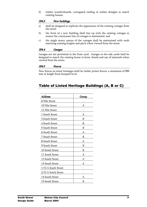- 
- 
- 

**SS4.3** New buildings<br>
a) shall be designed to replicate the appearance of the existing cottages from<br>
the street<br>
b) the front of a new building shall line up with the existing cottages to<br>
ensure the continuous line of c **Example 18.43** New buildings<br>
a) shall be designed to replicat<br>
the street<br>
b) the front of a new buildin<br>
ensure the continuous line<br>
c) the single storey nature of<br>
matching existing heights a<br> **SS4.4** Garages<br>
Garages the street<br>
b) the front of a new building shall line up with the existing cottages to<br>
ensure the continuous line of cottages is maintained, and<br>
c) the single storey nature of the cottages shall be maintained with roofs<br> the front of a<br>ensure the cont<br>the single store<br>matching existi<br>**Garages**<br>es are not permed to match the<br>d from the stree<br>**Fences**<br>ences on street<br>height from fo ensure the continuous line of cottages is maintained, and<br>
c) the single storey nature of the cottages shall be maintained with roofs<br>
matching existing heights and pitch when viewed from the street.<br> **SS4.4** Garages<br>
Gara ensure the continuous matrix of the cottages shall be maintained with matching existing heights and pitch when viewed from the street.<br> **Garages**<br>
es are not permitted in the front yard. Garages in the side yards<br>
ed to ma matching existing heights and pitch when viewed from the street.<br>
SS4.4 Garages<br>
Garages are not permitted in the front yard. Garages in the side yards shall be<br>
designed to match the existing house in form, details and us SS4.4 Garages<br>
Garages are not permitted in the front yard. Garages in the side yards shall<br>
designed to match the existing house in form, details and use of materials when<br>
wiewed from the street.<br>
SS4.5 Fences<br>
New fence designed to match the existing house in form, details and use of materials when<br>viewed from the street.<br>
Second from the street.<br>
Second of the street frontages shall be timber picket fences, a maximum of 900<br>
mm in height

|                                   |       | New fences on street frontages shall be timber picket fences, a maximum of 900 |
|-----------------------------------|-------|--------------------------------------------------------------------------------|
| mm in height from footpath level. |       |                                                                                |
|                                   |       |                                                                                |
|                                   |       |                                                                                |
|                                   |       | Table of Listed Heritage Buildings (A, B or C)                                 |
|                                   |       |                                                                                |
| Address                           | Group |                                                                                |
| 8 Nile Street                     |       |                                                                                |
| 10 Nile Street                    | Α     |                                                                                |
| 12 Nile Street                    |       |                                                                                |
| 1 South Street                    | A     |                                                                                |
| 3 South Street                    | B     |                                                                                |
| 4 South Street                    | B     |                                                                                |
| 5 South Street                    | B     |                                                                                |
| 6 South Street                    | A     |                                                                                |
| 7 South Street                    | B     |                                                                                |
| 8 South Street                    | A     |                                                                                |
| 9 South Street                    | B     |                                                                                |
| 10 South Street                   | B     |                                                                                |
| 11 South Street                   | Α     |                                                                                |
| 12 South Street                   | A     |                                                                                |
| 13 South Street                   | Α     |                                                                                |
| 1/13 A South Street               |       |                                                                                |
| 2/13 A South Street               |       |                                                                                |
| 14 South Street                   | A     |                                                                                |
| 15 South Street                   | B     |                                                                                |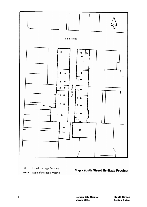

Listed Heritage Building ◈

Edge of Heritage Precinct

**Map - South Street Heritage Precinct**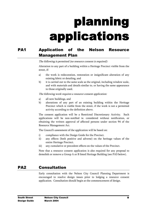## planning applications

## PA1 Application of the Nelson Resource Management Plan

### The following is permitted (no resource consent is required):

- 
- 

- 
- street, if:<br>
a) the work is redecoration, restoration or insignificant alteration of any<br>
existing fabric or detailing, and<br>
b) it is carried out to the same scale as the original, including window scale,<br>
and with materia a) the word<br>existing<br>b) it is can<br>and wi<br>to thos<br>The following<br>a) all new<br>b) alterati<br>Precinc<br>activity<br>The consent existing fabric or detailing, and<br>
b) it is carried out to the same scale as the original, including window scale,<br>
and with materials and details similar to, or having the same appearance<br>
to those originally used.<br>
The f

example are the same scale as the internal in the same scale as the and with materials and details similar to to those originally used.<br> *Sulowing work requires a resource conser* all new buildings, and alterations of any and with materials and details similar to, or having the same appearance<br>to those originally used.<br>The following work requires a resource consent application:<br>a) all new buildings, and<br>b) alterations of any part of an exis and with materials and alterations of those originally used.<br> *all new buildings, and*<br>
all new buildings, and<br>
alterations of any part of an existing building within the Heritage<br>
Precinct which is visible from the street The following work requires a resource consent application:<br>
a) all new buildings, and<br>
b) alterations of any part of an existing building withir<br>
Precinct which is visible from the street, if the work is a<br>
activity accor b) alterations of any part of ar<br>Precinct which is visible from<br>activity according to the definit<br>The consent application will be a<br>applications will be non-notified<br>obtaining the written approval of a<br>Resource Management Precinct which is visible from the street, if the work is not a permitted<br>activity according to the definition above.<br>The consent application will be a Restricted Discretionary Activity. Such<br>applications will be non-notif activity according to the definition above.<br>
onsent application will be a Restricted Discretionary Activity. Such<br>
ations will be non-notified ie. considered without notification, or<br>
ing the written approval of affected p action will be a Restricted Distations will be non-notified ie. considered<br>ing the written approval of affected person<br>rce Management Act.<br>ouncil's assessment of the application will be b<br>compliance with the Design Guide f applications will be non-notified ie. considered without notification, or obtaining the written approval of affected persons under section 94 of the Resource Management Act.<br>The Council's assessment of the application will Fortunations will be the non-noticear and the desired with the Resource Management Act.<br>The Council's assessment of the application will be based on:<br>i) compliance with the Design Guide for the Precinct.<br>ii) any effects (b

- 
- 
- 

Resource Management Act.<br>
The Council's assessment of the application will be based on:<br>
i) compliance with the Design Guide for the Precinct.<br>
ii) any effects (both positive and adverse) on the heritage values of the<br>
ent The Council's assessment of the<br>
i) compliance with the Desi<sub>s</sub><br>
ii) any effects (both positiventire Heritage Precinct.<br>
iii) any cumulative or precedent and demolish or remove a Group A of<br> **Consultation** The Compliance with the Design Guide for the Precinct.<br>
ii) any effects (both positive and adverse) on the heritage<br>
entire Heritage Precinct.<br>
iii) any cumulative or precedent effects on the values of the Pre<br>
Note that a

Figure 2012 and 2012 and 2013 and the Design Company and Service and Adverse) on the herita<br>entire Heritage Precinct.<br>iii) any cumulative or precedent effects on the values of the<br>Note that a resource consent application i France Heritage Precinct.<br>
iii) any cumulative or precedent effects on the values of the Precinct.<br>
Note that a resource consent application is also required for any proposal to<br>
demolish or remove a Group A or B listed He any cumulative or precedent<br>that a resource consent appl<br>ish or remove a Group A or B<br>**notation**<br>consultation with the Nels<br>raged to resolve design iss<br>ation. Consultation should be In the same of the value of the velocity.<br>
Note that a resource consent application is also required for any proposa<br>
demolish or remove a Group A or B listed Heritage Building (see PA3 below<br> **Consultation**<br>
Early consult demolish or remove a Group A or B listed Heritage Building (see PA3 below).<br> **Consultation**<br>
Early consultation with the Nelson City Council Planning Department is<br>
encouraged to resolve design issues prior to lodging a re **PA2** Consultation<br>
Early consultation<br>
Early consultation<br>
Early consultation with the Nelson City Council Planning Department is<br>
encouraged to resolve design issues prior to lodging a resource consent<br>
application. Cons Exercise and the Nelson City Council<br>
Explication with the Nelson Consultation should begin at the commencement of design.<br>
Nelson City Council March 2004 encouraged to receive design in the compensation. Consultation should begin at the commencement of design.<br> **Nelson City Council March 2004**